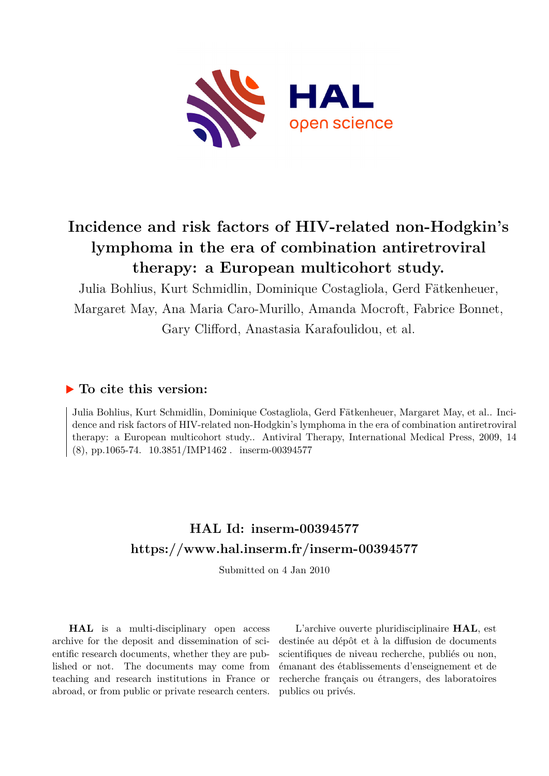

# **Incidence and risk factors of HIV-related non-Hodgkin's lymphoma in the era of combination antiretroviral therapy: a European multicohort study.**

Julia Bohlius, Kurt Schmidlin, Dominique Costagliola, Gerd Fätkenheuer, Margaret May, Ana Maria Caro-Murillo, Amanda Mocroft, Fabrice Bonnet, Gary Clifford, Anastasia Karafoulidou, et al.

# **To cite this version:**

Julia Bohlius, Kurt Schmidlin, Dominique Costagliola, Gerd Fätkenheuer, Margaret May, et al.. Incidence and risk factors of HIV-related non-Hodgkin's lymphoma in the era of combination antiretroviral therapy: a European multicohort study.. Antiviral Therapy, International Medical Press, 2009, 14  $(8)$ , pp.1065-74. 10.3851/IMP1462. inserm-00394577

# **HAL Id: inserm-00394577 <https://www.hal.inserm.fr/inserm-00394577>**

Submitted on 4 Jan 2010

**HAL** is a multi-disciplinary open access archive for the deposit and dissemination of scientific research documents, whether they are published or not. The documents may come from teaching and research institutions in France or abroad, or from public or private research centers.

L'archive ouverte pluridisciplinaire **HAL**, est destinée au dépôt et à la diffusion de documents scientifiques de niveau recherche, publiés ou non, émanant des établissements d'enseignement et de recherche français ou étrangers, des laboratoires publics ou privés.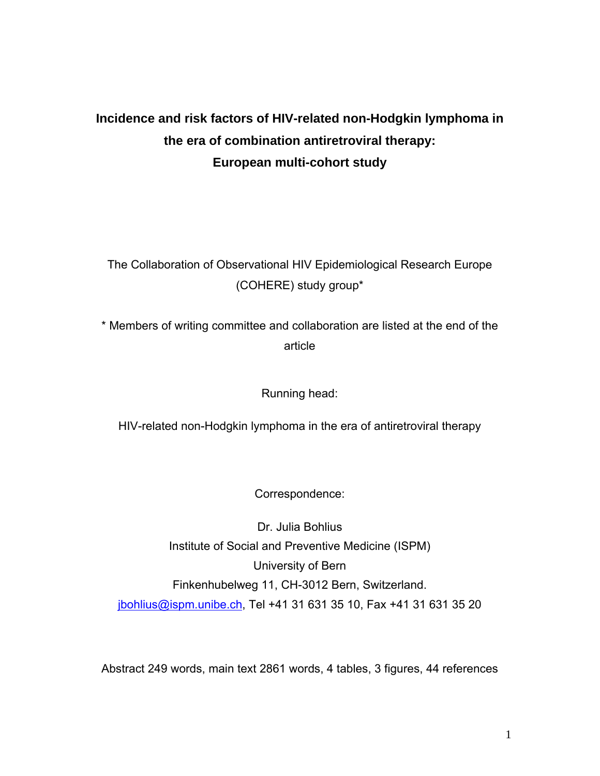# **Incidence and risk factors of HIV-related non-Hodgkin lymphoma in the era of combination antiretroviral therapy: European multi-cohort study**

The Collaboration of Observational HIV Epidemiological Research Europe (COHERE) study group\*

\* Members of writing committee and collaboration are listed at the end of the article

Running head:

HIV-related non-Hodgkin lymphoma in the era of antiretroviral therapy

Correspondence:

Dr. Julia Bohlius Institute of Social and Preventive Medicine (ISPM) University of Bern Finkenhubelweg 11, CH-3012 Bern, Switzerland. jbohlius@ispm.unibe.ch, Tel +41 31 631 35 10, Fax +41 31 631 35 20

Abstract 249 words, main text 2861 words, 4 tables, 3 figures, 44 references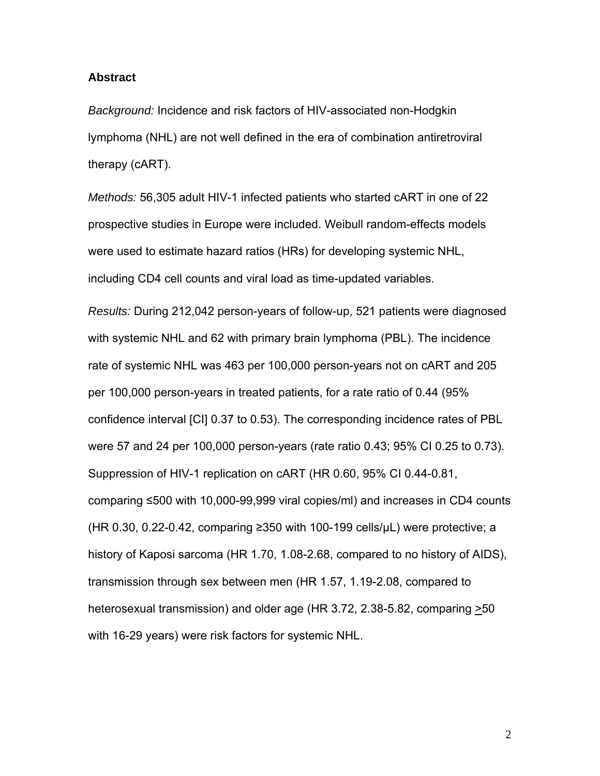#### **Abstract**

*Background:* Incidence and risk factors of HIV-associated non-Hodgkin lymphoma (NHL) are not well defined in the era of combination antiretroviral therapy (cART).

*Methods:* 56,305 adult HIV-1 infected patients who started cART in one of 22 prospective studies in Europe were included. Weibull random-effects models were used to estimate hazard ratios (HRs) for developing systemic NHL, including CD4 cell counts and viral load as time-updated variables.

*Results:* During 212,042 person-years of follow-up, 521 patients were diagnosed with systemic NHL and 62 with primary brain lymphoma (PBL). The incidence rate of systemic NHL was 463 per 100,000 person-years not on cART and 205 per 100,000 person-years in treated patients, for a rate ratio of 0.44 (95% confidence interval [CI] 0.37 to 0.53). The corresponding incidence rates of PBL were 57 and 24 per 100,000 person-years (rate ratio 0.43; 95% CI 0.25 to 0.73). Suppression of HIV-1 replication on cART (HR 0.60, 95% CI 0.44-0.81, comparing ≤500 with 10,000-99,999 viral copies/ml) and increases in CD4 counts (HR 0.30, 0.22-0.42, comparing ≥350 with 100-199 cells/ $\mu$ L) were protective; a history of Kaposi sarcoma (HR 1.70, 1.08-2.68, compared to no history of AIDS), transmission through sex between men (HR 1.57, 1.19-2.08, compared to heterosexual transmission) and older age (HR 3.72, 2.38-5.82, comparing  $\geq 50$ with 16-29 years) were risk factors for systemic NHL.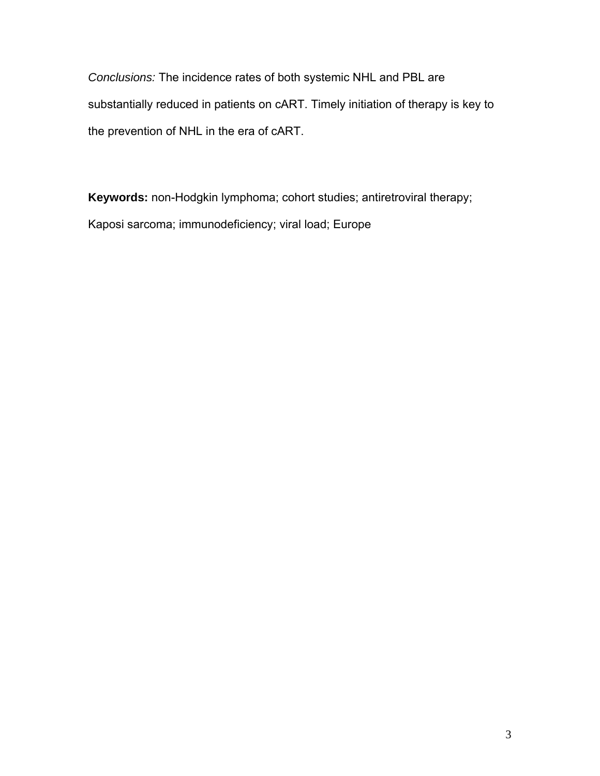*Conclusions:* The incidence rates of both systemic NHL and PBL are substantially reduced in patients on cART. Timely initiation of therapy is key to the prevention of NHL in the era of cART.

**Keywords:** non-Hodgkin lymphoma; cohort studies; antiretroviral therapy; Kaposi sarcoma; immunodeficiency; viral load; Europe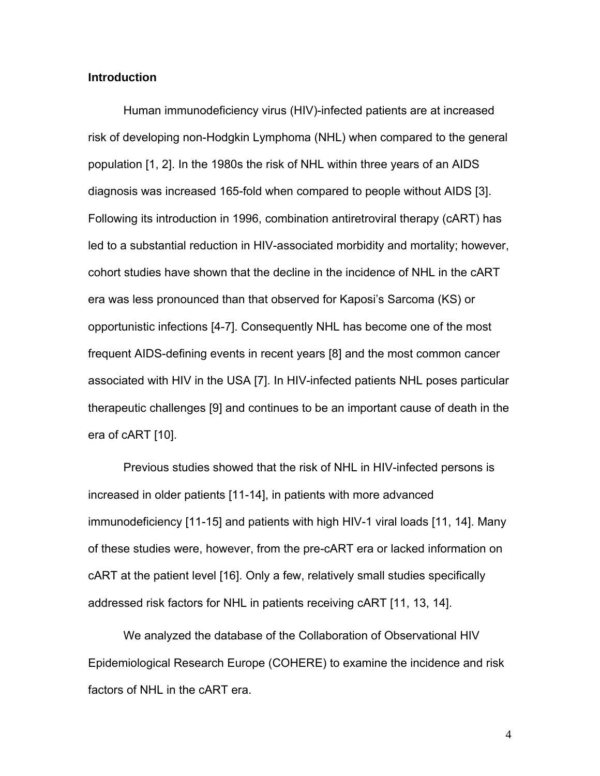### **Introduction**

Human immunodeficiency virus (HIV)-infected patients are at increased risk of developing non-Hodgkin Lymphoma (NHL) when compared to the general population [1, 2]. In the 1980s the risk of NHL within three years of an AIDS diagnosis was increased 165-fold when compared to people without AIDS [3]. Following its introduction in 1996, combination antiretroviral therapy (cART) has led to a substantial reduction in HIV-associated morbidity and mortality; however, cohort studies have shown that the decline in the incidence of NHL in the cART era was less pronounced than that observed for Kaposi's Sarcoma (KS) or opportunistic infections [4-7]. Consequently NHL has become one of the most frequent AIDS-defining events in recent years [8] and the most common cancer associated with HIV in the USA [7]. In HIV-infected patients NHL poses particular therapeutic challenges [9] and continues to be an important cause of death in the era of cART [10].

Previous studies showed that the risk of NHL in HIV-infected persons is increased in older patients [11-14], in patients with more advanced immunodeficiency [11-15] and patients with high HIV-1 viral loads [11, 14]. Many of these studies were, however, from the pre-cART era or lacked information on cART at the patient level [16]. Only a few, relatively small studies specifically addressed risk factors for NHL in patients receiving cART [11, 13, 14].

We analyzed the database of the Collaboration of Observational HIV Epidemiological Research Europe (COHERE) to examine the incidence and risk factors of NHL in the cART era.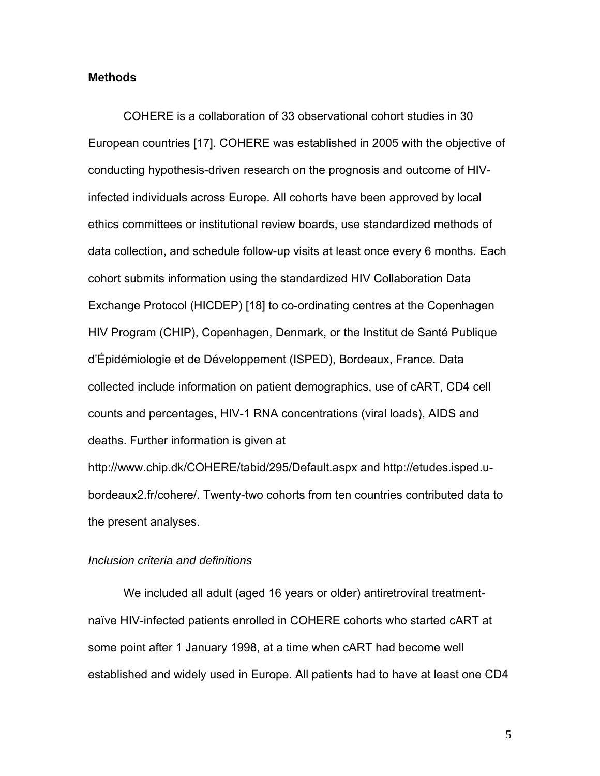## **Methods**

COHERE is a collaboration of 33 observational cohort studies in 30 European countries [17]. COHERE was established in 2005 with the objective of conducting hypothesis-driven research on the prognosis and outcome of HIVinfected individuals across Europe. All cohorts have been approved by local ethics committees or institutional review boards, use standardized methods of data collection, and schedule follow-up visits at least once every 6 months. Each cohort submits information using the standardized HIV Collaboration Data Exchange Protocol (HICDEP) [18] to co-ordinating centres at the Copenhagen HIV Program (CHIP), Copenhagen, Denmark, or the Institut de Santé Publique d'Épidémiologie et de Développement (ISPED), Bordeaux, France. Data collected include information on patient demographics, use of cART, CD4 cell counts and percentages, HIV-1 RNA concentrations (viral loads), AIDS and deaths. Further information is given at

http://www.chip.dk/COHERE/tabid/295/Default.aspx and http://etudes.isped.ubordeaux2.fr/cohere/. Twenty-two cohorts from ten countries contributed data to the present analyses.

## *Inclusion criteria and definitions*

We included all adult (aged 16 years or older) antiretroviral treatmentnaïve HIV-infected patients enrolled in COHERE cohorts who started cART at some point after 1 January 1998, at a time when cART had become well established and widely used in Europe. All patients had to have at least one CD4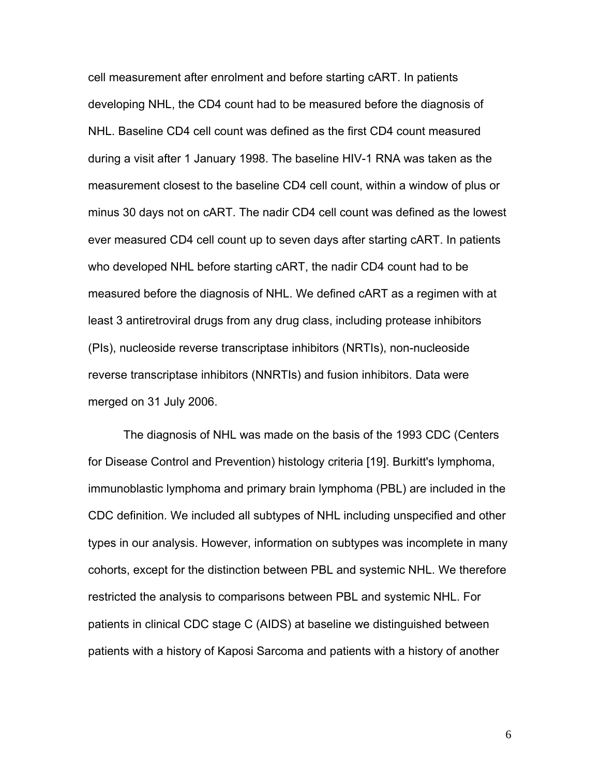cell measurement after enrolment and before starting cART. In patients developing NHL, the CD4 count had to be measured before the diagnosis of NHL. Baseline CD4 cell count was defined as the first CD4 count measured during a visit after 1 January 1998. The baseline HIV-1 RNA was taken as the measurement closest to the baseline CD4 cell count, within a window of plus or minus 30 days not on cART. The nadir CD4 cell count was defined as the lowest ever measured CD4 cell count up to seven days after starting cART. In patients who developed NHL before starting cART, the nadir CD4 count had to be measured before the diagnosis of NHL. We defined cART as a regimen with at least 3 antiretroviral drugs from any drug class, including protease inhibitors (PIs), nucleoside reverse transcriptase inhibitors (NRTIs), non-nucleoside reverse transcriptase inhibitors (NNRTIs) and fusion inhibitors. Data were merged on 31 July 2006.

The diagnosis of NHL was made on the basis of the 1993 CDC (Centers for Disease Control and Prevention) histology criteria [19]. Burkitt's lymphoma, immunoblastic lymphoma and primary brain lymphoma (PBL) are included in the CDC definition. We included all subtypes of NHL including unspecified and other types in our analysis. However, information on subtypes was incomplete in many cohorts, except for the distinction between PBL and systemic NHL. We therefore restricted the analysis to comparisons between PBL and systemic NHL. For patients in clinical CDC stage C (AIDS) at baseline we distinguished between patients with a history of Kaposi Sarcoma and patients with a history of another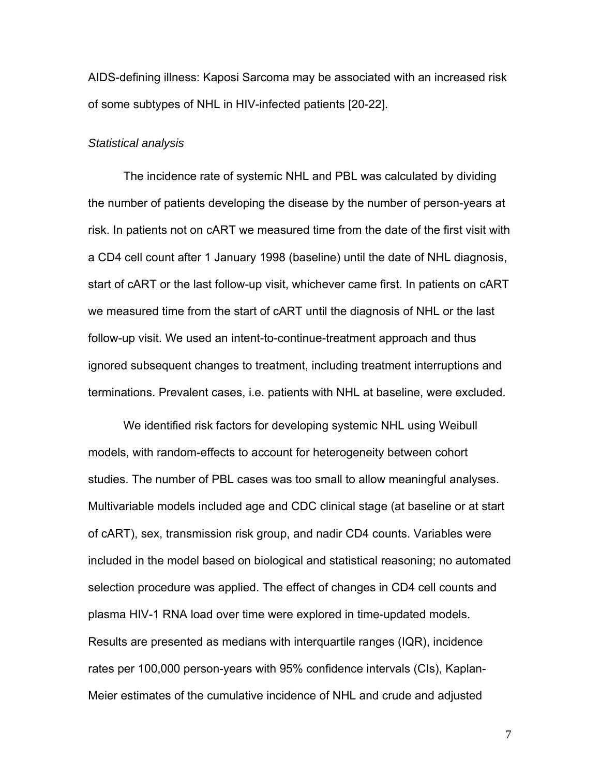AIDS-defining illness: Kaposi Sarcoma may be associated with an increased risk of some subtypes of NHL in HIV-infected patients [20-22].

#### *Statistical analysis*

The incidence rate of systemic NHL and PBL was calculated by dividing the number of patients developing the disease by the number of person-years at risk. In patients not on cART we measured time from the date of the first visit with a CD4 cell count after 1 January 1998 (baseline) until the date of NHL diagnosis, start of cART or the last follow-up visit, whichever came first. In patients on cART we measured time from the start of cART until the diagnosis of NHL or the last follow-up visit. We used an intent-to-continue-treatment approach and thus ignored subsequent changes to treatment, including treatment interruptions and terminations. Prevalent cases, i.e. patients with NHL at baseline, were excluded.

We identified risk factors for developing systemic NHL using Weibull models, with random-effects to account for heterogeneity between cohort studies. The number of PBL cases was too small to allow meaningful analyses. Multivariable models included age and CDC clinical stage (at baseline or at start of cART), sex, transmission risk group, and nadir CD4 counts. Variables were included in the model based on biological and statistical reasoning; no automated selection procedure was applied. The effect of changes in CD4 cell counts and plasma HIV-1 RNA load over time were explored in time-updated models. Results are presented as medians with interquartile ranges (IQR), incidence rates per 100,000 person-years with 95% confidence intervals (CIs), Kaplan-Meier estimates of the cumulative incidence of NHL and crude and adjusted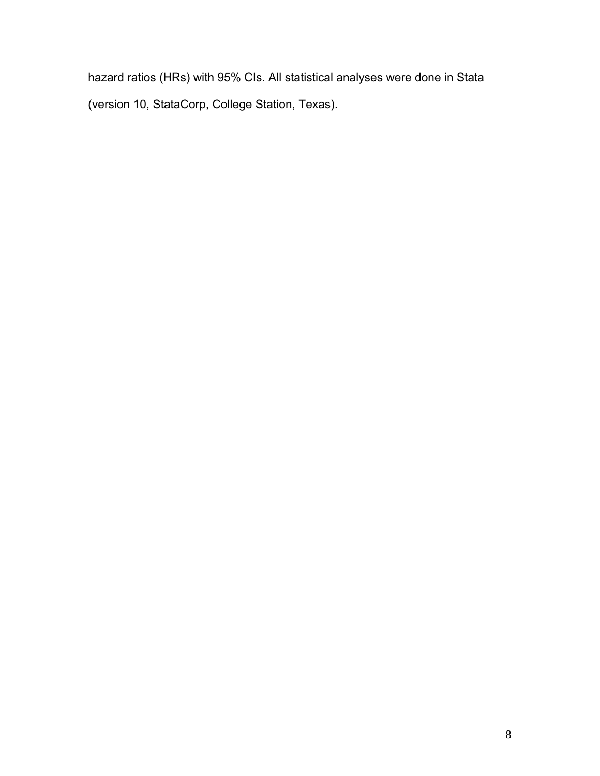hazard ratios (HRs) with 95% CIs. All statistical analyses were done in Stata (version 10, StataCorp, College Station, Texas).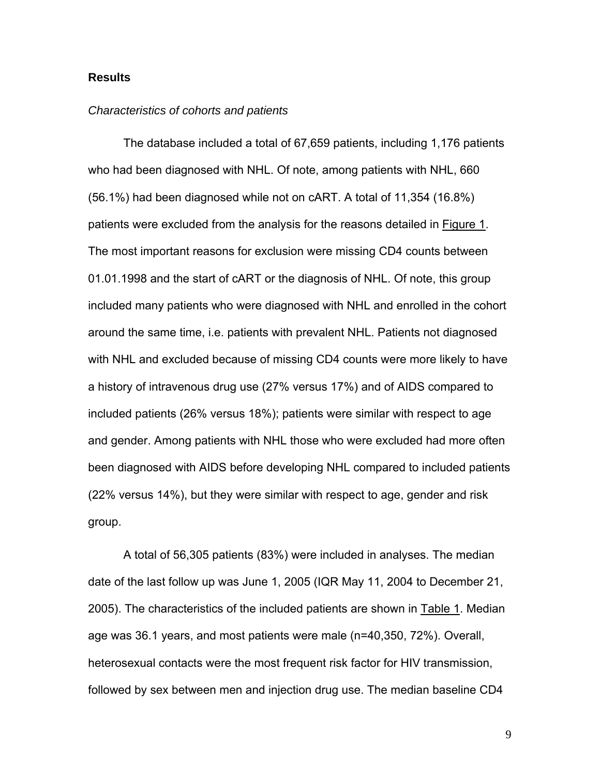## **Results**

#### *Characteristics of cohorts and patients*

The database included a total of 67,659 patients, including 1,176 patients who had been diagnosed with NHL. Of note, among patients with NHL, 660 (56.1%) had been diagnosed while not on cART. A total of 11,354 (16.8%) patients were excluded from the analysis for the reasons detailed in Figure 1. The most important reasons for exclusion were missing CD4 counts between 01.01.1998 and the start of cART or the diagnosis of NHL. Of note, this group included many patients who were diagnosed with NHL and enrolled in the cohort around the same time, i.e. patients with prevalent NHL. Patients not diagnosed with NHL and excluded because of missing CD4 counts were more likely to have a history of intravenous drug use (27% versus 17%) and of AIDS compared to included patients (26% versus 18%); patients were similar with respect to age and gender. Among patients with NHL those who were excluded had more often been diagnosed with AIDS before developing NHL compared to included patients (22% versus 14%), but they were similar with respect to age, gender and risk group.

A total of 56,305 patients (83%) were included in analyses. The median date of the last follow up was June 1, 2005 (IQR May 11, 2004 to December 21, 2005). The characteristics of the included patients are shown in Table 1. Median age was 36.1 years, and most patients were male (n=40,350, 72%). Overall, heterosexual contacts were the most frequent risk factor for HIV transmission, followed by sex between men and injection drug use. The median baseline CD4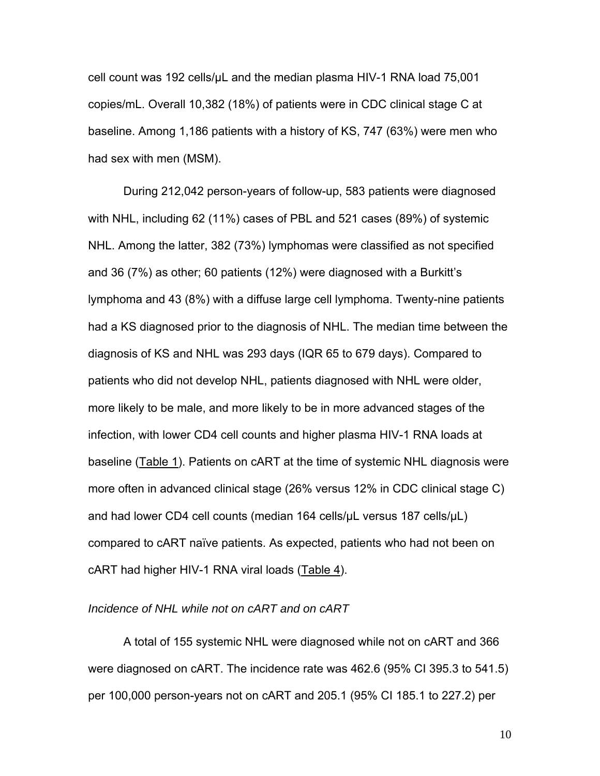cell count was 192 cells/μL and the median plasma HIV-1 RNA load 75,001 copies/mL. Overall 10,382 (18%) of patients were in CDC clinical stage C at baseline. Among 1,186 patients with a history of KS, 747 (63%) were men who had sex with men (MSM).

During 212,042 person-years of follow-up, 583 patients were diagnosed with NHL, including 62 (11%) cases of PBL and 521 cases (89%) of systemic NHL. Among the latter, 382 (73%) lymphomas were classified as not specified and 36 (7%) as other; 60 patients (12%) were diagnosed with a Burkitt's lymphoma and 43 (8%) with a diffuse large cell lymphoma. Twenty-nine patients had a KS diagnosed prior to the diagnosis of NHL. The median time between the diagnosis of KS and NHL was 293 days (IQR 65 to 679 days). Compared to patients who did not develop NHL, patients diagnosed with NHL were older, more likely to be male, and more likely to be in more advanced stages of the infection, with lower CD4 cell counts and higher plasma HIV-1 RNA loads at baseline (Table 1). Patients on cART at the time of systemic NHL diagnosis were more often in advanced clinical stage (26% versus 12% in CDC clinical stage C) and had lower CD4 cell counts (median 164 cells/µL versus 187 cells/µL) compared to cART naïve patients. As expected, patients who had not been on cART had higher HIV-1 RNA viral loads (Table 4).

## *Incidence of NHL while not on cART and on cART*

A total of 155 systemic NHL were diagnosed while not on cART and 366 were diagnosed on cART. The incidence rate was 462.6 (95% CI 395.3 to 541.5) per 100,000 person-years not on cART and 205.1 (95% CI 185.1 to 227.2) per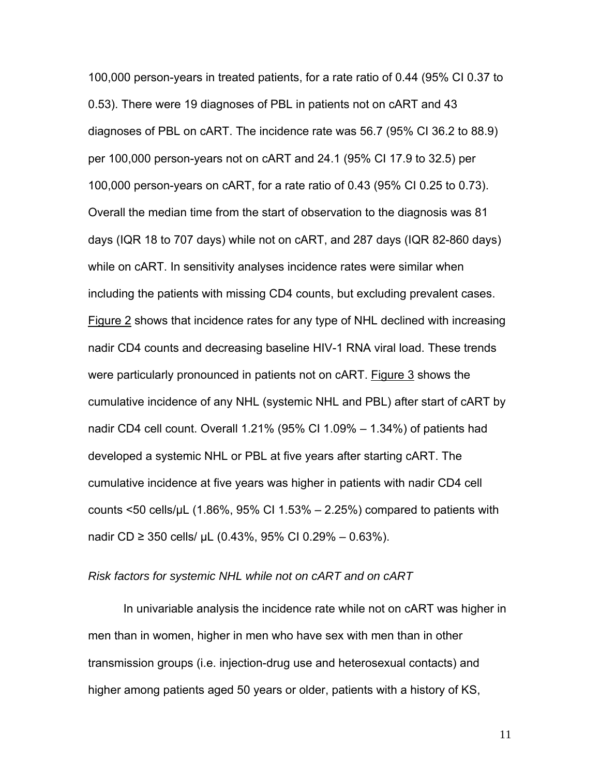100,000 person-years in treated patients, for a rate ratio of 0.44 (95% CI 0.37 to 0.53). There were 19 diagnoses of PBL in patients not on cART and 43 diagnoses of PBL on cART. The incidence rate was 56.7 (95% CI 36.2 to 88.9) per 100,000 person-years not on cART and 24.1 (95% CI 17.9 to 32.5) per 100,000 person-years on cART, for a rate ratio of 0.43 (95% CI 0.25 to 0.73). Overall the median time from the start of observation to the diagnosis was 81 days (IQR 18 to 707 days) while not on cART, and 287 days (IQR 82-860 days) while on cART. In sensitivity analyses incidence rates were similar when including the patients with missing CD4 counts, but excluding prevalent cases. Figure 2 shows that incidence rates for any type of NHL declined with increasing nadir CD4 counts and decreasing baseline HIV-1 RNA viral load. These trends were particularly pronounced in patients not on cART. Figure 3 shows the cumulative incidence of any NHL (systemic NHL and PBL) after start of cART by nadir CD4 cell count. Overall 1.21% (95% CI 1.09% – 1.34%) of patients had developed a systemic NHL or PBL at five years after starting cART. The cumulative incidence at five years was higher in patients with nadir CD4 cell counts  $\leq$ 50 cells/µL (1.86%, 95% CI 1.53% – 2.25%) compared to patients with nadir CD ≥ 350 cells/ µL (0.43%, 95% CI 0.29% – 0.63%).

#### *Risk factors for systemic NHL while not on cART and on cART*

In univariable analysis the incidence rate while not on cART was higher in men than in women, higher in men who have sex with men than in other transmission groups (i.e. injection-drug use and heterosexual contacts) and higher among patients aged 50 years or older, patients with a history of KS,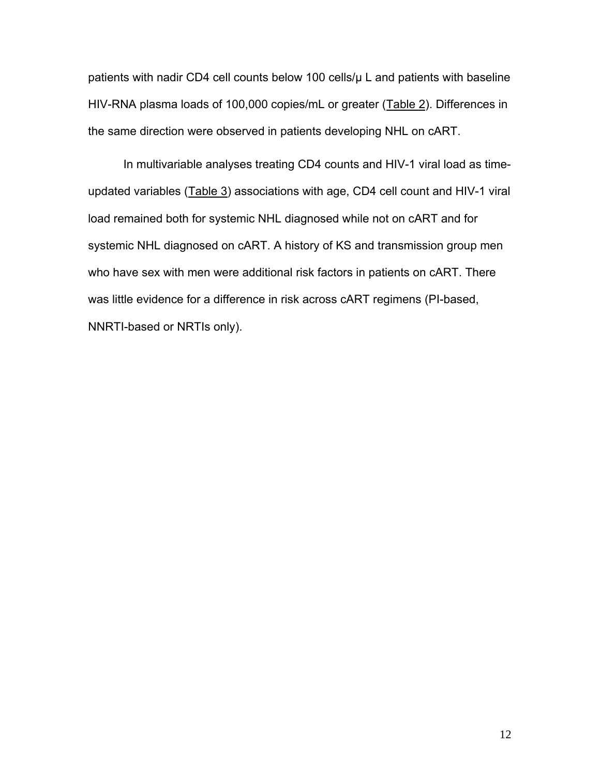patients with nadir CD4 cell counts below 100 cells/µ L and patients with baseline HIV-RNA plasma loads of 100,000 copies/mL or greater (Table 2). Differences in the same direction were observed in patients developing NHL on cART.

In multivariable analyses treating CD4 counts and HIV-1 viral load as timeupdated variables (Table 3) associations with age, CD4 cell count and HIV-1 viral load remained both for systemic NHL diagnosed while not on cART and for systemic NHL diagnosed on cART. A history of KS and transmission group men who have sex with men were additional risk factors in patients on cART. There was little evidence for a difference in risk across cART regimens (PI-based, NNRTI-based or NRTIs only).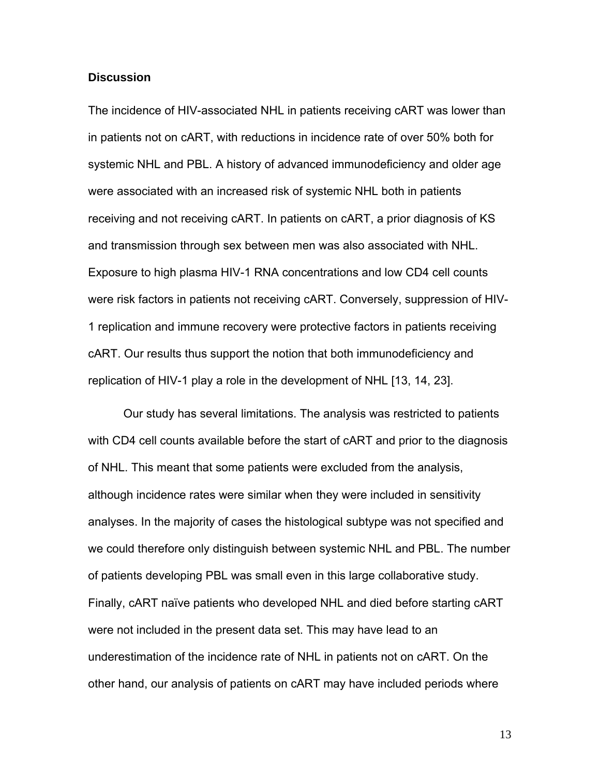## **Discussion**

The incidence of HIV-associated NHL in patients receiving cART was lower than in patients not on cART, with reductions in incidence rate of over 50% both for systemic NHL and PBL. A history of advanced immunodeficiency and older age were associated with an increased risk of systemic NHL both in patients receiving and not receiving cART. In patients on cART, a prior diagnosis of KS and transmission through sex between men was also associated with NHL. Exposure to high plasma HIV-1 RNA concentrations and low CD4 cell counts were risk factors in patients not receiving cART. Conversely, suppression of HIV-1 replication and immune recovery were protective factors in patients receiving cART. Our results thus support the notion that both immunodeficiency and replication of HIV-1 play a role in the development of NHL [13, 14, 23].

Our study has several limitations. The analysis was restricted to patients with CD4 cell counts available before the start of cART and prior to the diagnosis of NHL. This meant that some patients were excluded from the analysis, although incidence rates were similar when they were included in sensitivity analyses. In the majority of cases the histological subtype was not specified and we could therefore only distinguish between systemic NHL and PBL. The number of patients developing PBL was small even in this large collaborative study. Finally, cART naïve patients who developed NHL and died before starting cART were not included in the present data set. This may have lead to an underestimation of the incidence rate of NHL in patients not on cART. On the other hand, our analysis of patients on cART may have included periods where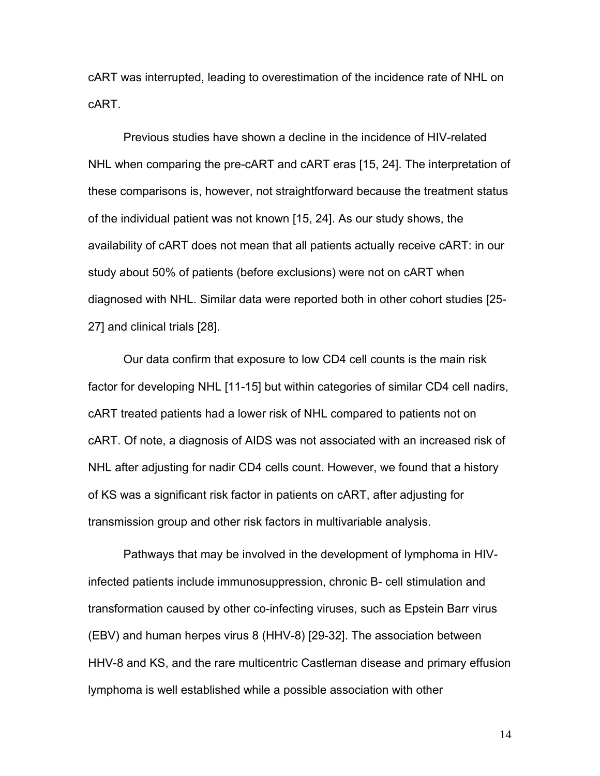cART was interrupted, leading to overestimation of the incidence rate of NHL on cART.

Previous studies have shown a decline in the incidence of HIV-related NHL when comparing the pre-cART and cART eras [15, 24]. The interpretation of these comparisons is, however, not straightforward because the treatment status of the individual patient was not known [15, 24]. As our study shows, the availability of cART does not mean that all patients actually receive cART: in our study about 50% of patients (before exclusions) were not on cART when diagnosed with NHL. Similar data were reported both in other cohort studies [25- 27] and clinical trials [28].

Our data confirm that exposure to low CD4 cell counts is the main risk factor for developing NHL [11-15] but within categories of similar CD4 cell nadirs, cART treated patients had a lower risk of NHL compared to patients not on cART. Of note, a diagnosis of AIDS was not associated with an increased risk of NHL after adjusting for nadir CD4 cells count. However, we found that a history of KS was a significant risk factor in patients on cART, after adjusting for transmission group and other risk factors in multivariable analysis.

Pathways that may be involved in the development of lymphoma in HIVinfected patients include immunosuppression, chronic B- cell stimulation and transformation caused by other co-infecting viruses, such as Epstein Barr virus (EBV) and human herpes virus 8 (HHV-8) [29-32]. The association between HHV-8 and KS, and the rare multicentric Castleman disease and primary effusion lymphoma is well established while a possible association with other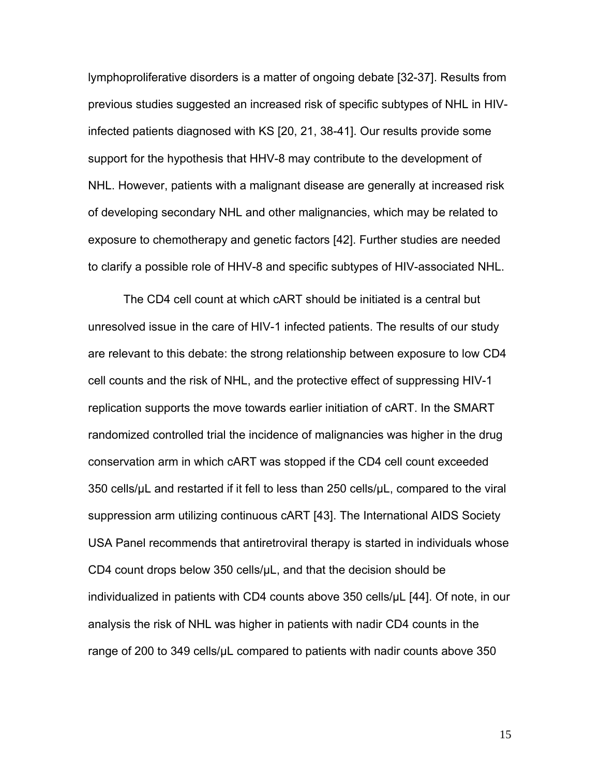lymphoproliferative disorders is a matter of ongoing debate [32-37]. Results from previous studies suggested an increased risk of specific subtypes of NHL in HIVinfected patients diagnosed with KS [20, 21, 38-41]. Our results provide some support for the hypothesis that HHV-8 may contribute to the development of NHL. However, patients with a malignant disease are generally at increased risk of developing secondary NHL and other malignancies, which may be related to exposure to chemotherapy and genetic factors [42]. Further studies are needed to clarify a possible role of HHV-8 and specific subtypes of HIV-associated NHL.

The CD4 cell count at which cART should be initiated is a central but unresolved issue in the care of HIV-1 infected patients. The results of our study are relevant to this debate: the strong relationship between exposure to low CD4 cell counts and the risk of NHL, and the protective effect of suppressing HIV-1 replication supports the move towards earlier initiation of cART. In the SMART randomized controlled trial the incidence of malignancies was higher in the drug conservation arm in which cART was stopped if the CD4 cell count exceeded 350 cells/µL and restarted if it fell to less than 250 cells/µL, compared to the viral suppression arm utilizing continuous cART [43]. The International AIDS Society USA Panel recommends that antiretroviral therapy is started in individuals whose CD4 count drops below 350 cells/µL, and that the decision should be individualized in patients with CD4 counts above 350 cells/µL [44]. Of note, in our analysis the risk of NHL was higher in patients with nadir CD4 counts in the range of 200 to 349 cells/µL compared to patients with nadir counts above 350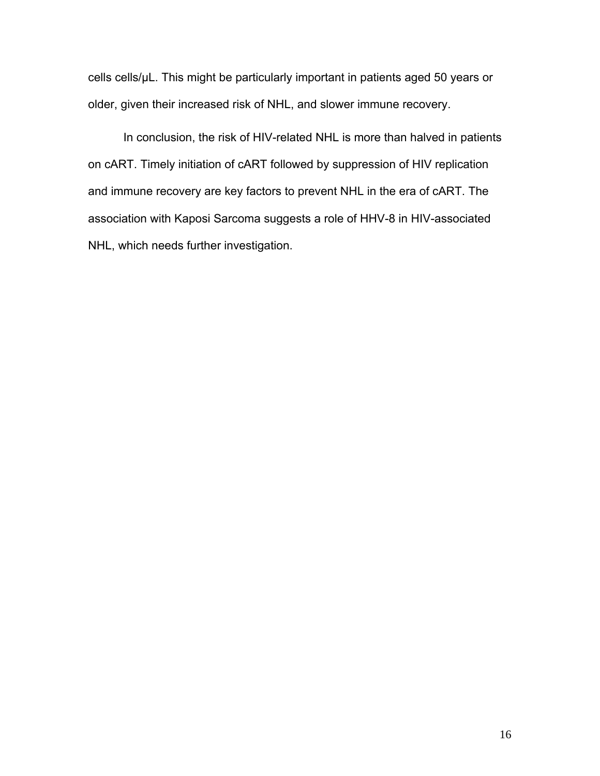cells cells/µL. This might be particularly important in patients aged 50 years or older, given their increased risk of NHL, and slower immune recovery.

In conclusion, the risk of HIV-related NHL is more than halved in patients on cART. Timely initiation of cART followed by suppression of HIV replication and immune recovery are key factors to prevent NHL in the era of cART. The association with Kaposi Sarcoma suggests a role of HHV-8 in HIV-associated NHL, which needs further investigation.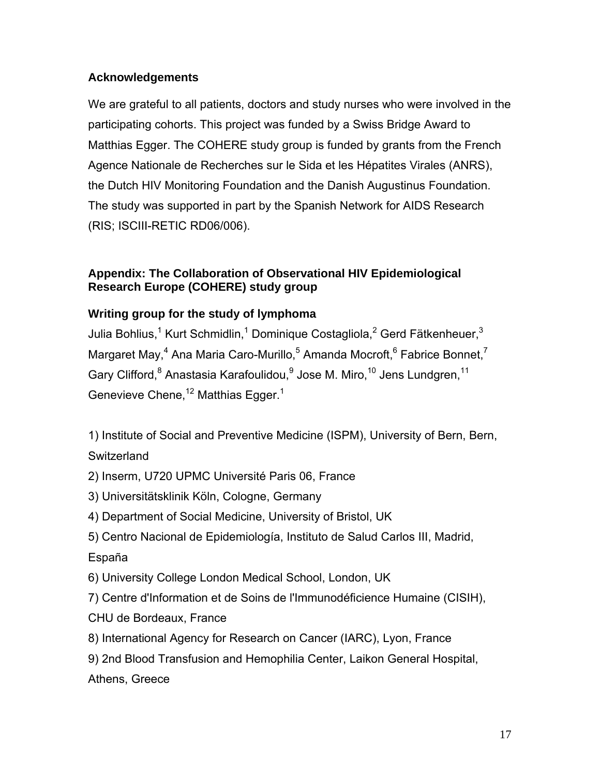## **Acknowledgements**

We are grateful to all patients, doctors and study nurses who were involved in the participating cohorts. This project was funded by a Swiss Bridge Award to Matthias Egger. The COHERE study group is funded by grants from the French Agence Nationale de Recherches sur le Sida et les Hépatites Virales (ANRS), the Dutch HIV Monitoring Foundation and the Danish Augustinus Foundation. The study was supported in part by the Spanish Network for AIDS Research (RIS; ISCIII-RETIC RD06/006).

## **Appendix: The Collaboration of Observational HIV Epidemiological Research Europe (COHERE) study group**

# **Writing group for the study of lymphoma**

Julia Bohlius,<sup>1</sup> Kurt Schmidlin,<sup>1</sup> Dominique Costagliola,<sup>2</sup> Gerd Fätkenheuer,<sup>3</sup> Margaret May,<sup>4</sup> Ana Maria Caro-Murillo,<sup>5</sup> Amanda Mocroft,<sup>6</sup> Fabrice Bonnet,<sup>7</sup> Gary Clifford,<sup>8</sup> Anastasia Karafoulidou,<sup>9</sup> Jose M. Miro,<sup>10</sup> Jens Lundgren,<sup>11</sup> Genevieve Chene,  $12$  Matthias Egger.<sup>1</sup>

1) Institute of Social and Preventive Medicine (ISPM), University of Bern, Bern, **Switzerland** 

- 2) Inserm, U720 UPMC Université Paris 06, France
- 3) Universitätsklinik Köln, Cologne, Germany
- 4) Department of Social Medicine, University of Bristol, UK
- 5) Centro Nacional de Epidemiología, Instituto de Salud Carlos III, Madrid,

# España

- 6) University College London Medical School, London, UK
- 7) Centre d'Information et de Soins de l'Immunodéficience Humaine (CISIH),
- CHU de Bordeaux, France
- 8) International Agency for Research on Cancer (IARC), Lyon, France
- 9) 2nd Blood Transfusion and Hemophilia Center, Laikon General Hospital,

Athens, Greece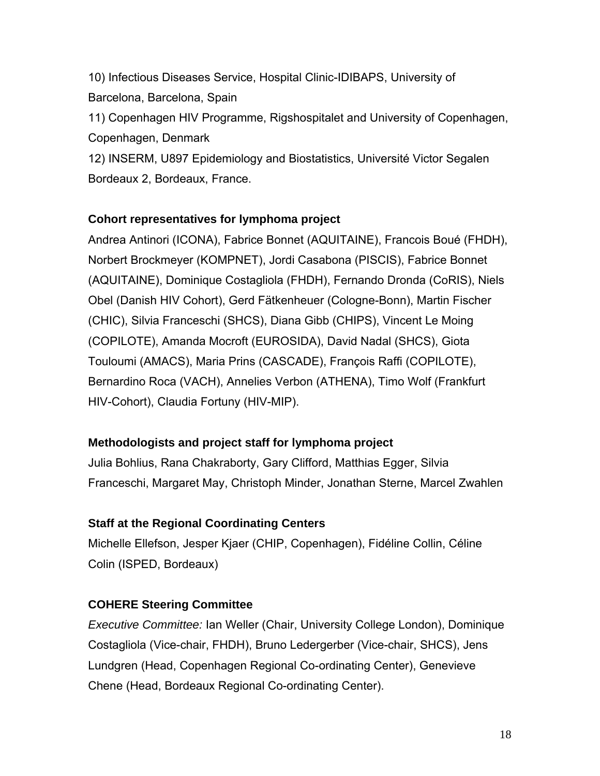10) Infectious Diseases Service, Hospital Clinic-IDIBAPS, University of Barcelona, Barcelona, Spain

11) Copenhagen HIV Programme, Rigshospitalet and University of Copenhagen, Copenhagen, Denmark

12) INSERM, U897 Epidemiology and Biostatistics, Université Victor Segalen Bordeaux 2, Bordeaux, France.

## **Cohort representatives for lymphoma project**

Andrea Antinori (ICONA), Fabrice Bonnet (AQUITAINE), Francois Boué (FHDH), Norbert Brockmeyer (KOMPNET), Jordi Casabona (PISCIS), Fabrice Bonnet (AQUITAINE), Dominique Costagliola (FHDH), Fernando Dronda (CoRIS), Niels Obel (Danish HIV Cohort), Gerd Fätkenheuer (Cologne-Bonn), Martin Fischer (CHIC), Silvia Franceschi (SHCS), Diana Gibb (CHIPS), Vincent Le Moing (COPILOTE), Amanda Mocroft (EUROSIDA), David Nadal (SHCS), Giota Touloumi (AMACS), Maria Prins (CASCADE), François Raffi (COPILOTE), Bernardino Roca (VACH), Annelies Verbon (ATHENA), Timo Wolf (Frankfurt HIV-Cohort), Claudia Fortuny (HIV-MIP).

# **Methodologists and project staff for lymphoma project**

Julia Bohlius, Rana Chakraborty, Gary Clifford, Matthias Egger, Silvia Franceschi, Margaret May, Christoph Minder, Jonathan Sterne, Marcel Zwahlen

# **Staff at the Regional Coordinating Centers**

Michelle Ellefson, Jesper Kjaer (CHIP, Copenhagen), Fidéline Collin, Céline Colin (ISPED, Bordeaux)

# **COHERE Steering Committee**

*Executive Committee:* Ian Weller (Chair, University College London), Dominique Costagliola (Vice-chair, FHDH), Bruno Ledergerber (Vice-chair, SHCS), Jens Lundgren (Head, Copenhagen Regional Co-ordinating Center), Genevieve Chene (Head, Bordeaux Regional Co-ordinating Center).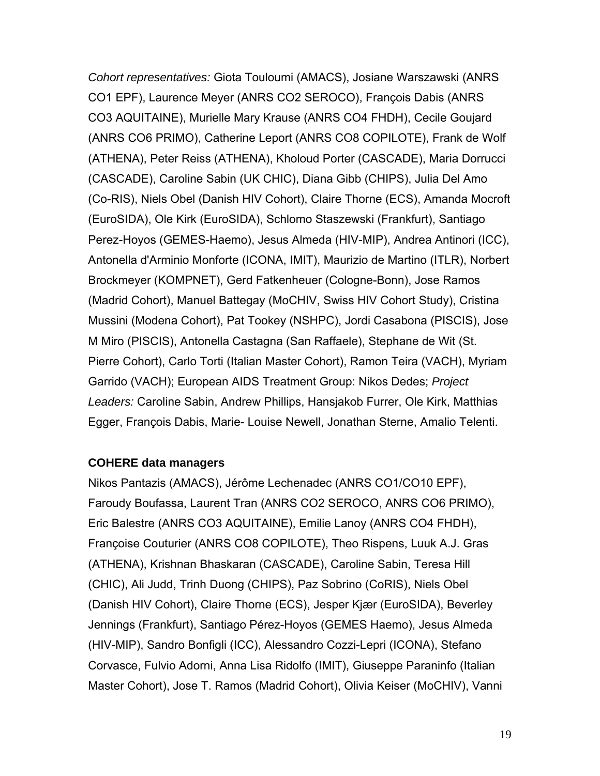*Cohort representatives:* Giota Touloumi (AMACS), Josiane Warszawski (ANRS CO1 EPF), Laurence Meyer (ANRS CO2 SEROCO), François Dabis (ANRS CO3 AQUITAINE), Murielle Mary Krause (ANRS CO4 FHDH), Cecile Goujard (ANRS CO6 PRIMO), Catherine Leport (ANRS CO8 COPILOTE), Frank de Wolf (ATHENA), Peter Reiss (ATHENA), Kholoud Porter (CASCADE), Maria Dorrucci (CASCADE), Caroline Sabin (UK CHIC), Diana Gibb (CHIPS), Julia Del Amo (Co-RIS), Niels Obel (Danish HIV Cohort), Claire Thorne (ECS), Amanda Mocroft (EuroSIDA), Ole Kirk (EuroSIDA), Schlomo Staszewski (Frankfurt), Santiago Perez-Hoyos (GEMES-Haemo), Jesus Almeda (HIV-MIP), Andrea Antinori (ICC), Antonella d'Arminio Monforte (ICONA, IMIT), Maurizio de Martino (ITLR), Norbert Brockmeyer (KOMPNET), Gerd Fatkenheuer (Cologne-Bonn), Jose Ramos (Madrid Cohort), Manuel Battegay (MoCHIV, Swiss HIV Cohort Study), Cristina Mussini (Modena Cohort), Pat Tookey (NSHPC), Jordi Casabona (PISCIS), Jose M Miro (PISCIS), Antonella Castagna (San Raffaele), Stephane de Wit (St. Pierre Cohort), Carlo Torti (Italian Master Cohort), Ramon Teira (VACH), Myriam Garrido (VACH); European AIDS Treatment Group: Nikos Dedes; *Project Leaders:* Caroline Sabin, Andrew Phillips, Hansjakob Furrer, Ole Kirk, Matthias Egger, François Dabis, Marie- Louise Newell, Jonathan Sterne, Amalio Telenti.

## **COHERE data managers**

Nikos Pantazis (AMACS), Jérôme Lechenadec (ANRS CO1/CO10 EPF), Faroudy Boufassa, Laurent Tran (ANRS CO2 SEROCO, ANRS CO6 PRIMO), Eric Balestre (ANRS CO3 AQUITAINE), Emilie Lanoy (ANRS CO4 FHDH), Françoise Couturier (ANRS CO8 COPILOTE), Theo Rispens, Luuk A.J. Gras (ATHENA), Krishnan Bhaskaran (CASCADE), Caroline Sabin, Teresa Hill (CHIC), Ali Judd, Trinh Duong (CHIPS), Paz Sobrino (CoRIS), Niels Obel (Danish HIV Cohort), Claire Thorne (ECS), Jesper Kjær (EuroSIDA), Beverley Jennings (Frankfurt), Santiago Pérez-Hoyos (GEMES Haemo), Jesus Almeda (HIV-MIP), Sandro Bonfigli (ICC), Alessandro Cozzi-Lepri (ICONA), Stefano Corvasce, Fulvio Adorni, Anna Lisa Ridolfo (IMIT), Giuseppe Paraninfo (Italian Master Cohort), Jose T. Ramos (Madrid Cohort), Olivia Keiser (MoCHIV), Vanni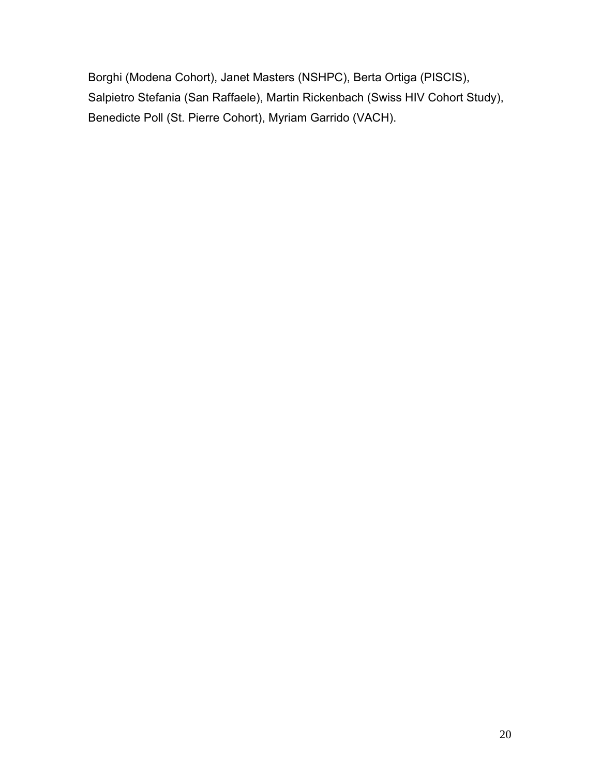Borghi (Modena Cohort), Janet Masters (NSHPC), Berta Ortiga (PISCIS), Salpietro Stefania (San Raffaele), Martin Rickenbach (Swiss HIV Cohort Study), Benedicte Poll (St. Pierre Cohort), Myriam Garrido (VACH).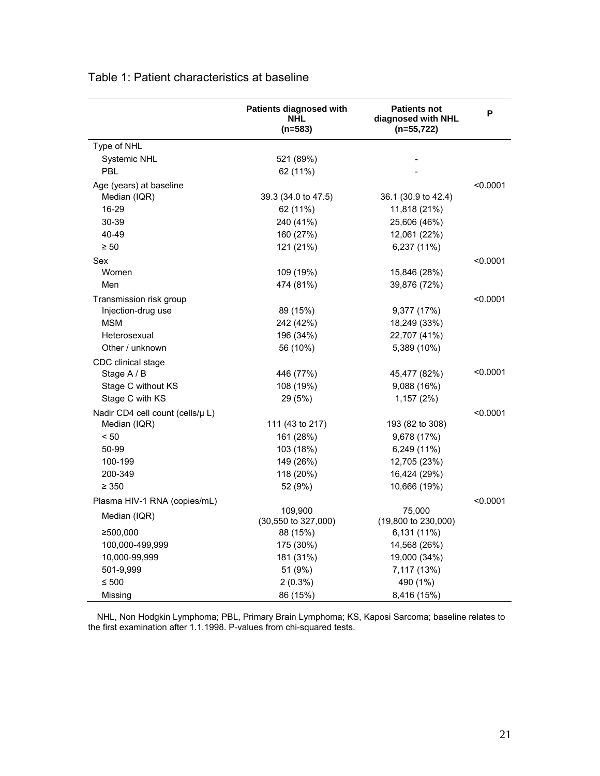|                                  | Patients diagnosed with<br><b>NHL</b><br>$(n=583)$ | <b>Patients not</b><br>diagnosed with NHL<br>$(n=55, 722)$ | P        |
|----------------------------------|----------------------------------------------------|------------------------------------------------------------|----------|
| Type of NHL                      |                                                    |                                                            |          |
| Systemic NHL                     | 521 (89%)                                          |                                                            |          |
| PBL                              | 62 (11%)                                           |                                                            |          |
| Age (years) at baseline          |                                                    |                                                            | < 0.0001 |
| Median (IQR)                     | 39.3 (34.0 to 47.5)                                | 36.1 (30.9 to 42.4)                                        |          |
| 16-29                            | 62 (11%)                                           | 11,818 (21%)                                               |          |
| 30-39                            | 240 (41%)                                          | 25,606 (46%)                                               |          |
| 40-49                            | 160 (27%)                                          | 12,061 (22%)                                               |          |
| $\geq 50$                        | 121 (21%)                                          | 6,237 (11%)                                                |          |
| Sex                              |                                                    |                                                            | < 0.0001 |
| Women                            | 109 (19%)                                          | 15,846 (28%)                                               |          |
| Men                              | 474 (81%)                                          | 39,876 (72%)                                               |          |
| Transmission risk group          |                                                    |                                                            | < 0.0001 |
| Injection-drug use               | 89 (15%)                                           | 9,377 (17%)                                                |          |
| <b>MSM</b>                       | 242 (42%)                                          | 18,249 (33%)                                               |          |
| Heterosexual                     | 196 (34%)                                          | 22,707 (41%)                                               |          |
| Other / unknown                  | 56 (10%)                                           | 5,389 (10%)                                                |          |
| CDC clinical stage               |                                                    |                                                            |          |
| Stage A / B                      | 446 (77%)                                          | 45,477 (82%)                                               | < 0.0001 |
| Stage C without KS               | 108 (19%)                                          | 9,088 (16%)                                                |          |
| Stage C with KS                  | 29 (5%)                                            | 1,157 (2%)                                                 |          |
| Nadir CD4 cell count (cells/µ L) |                                                    |                                                            | < 0.0001 |
| Median (IQR)                     | 111 (43 to 217)                                    | 193 (82 to 308)                                            |          |
| < 50                             | 161 (28%)                                          | 9,678 (17%)                                                |          |
| 50-99                            | 103 (18%)                                          | 6,249 (11%)                                                |          |
| 100-199                          | 149 (26%)                                          | 12,705 (23%)                                               |          |
| 200-349                          | 118 (20%)                                          | 16,424 (29%)                                               |          |
| $\geq 350$                       | 52 (9%)                                            | 10,666 (19%)                                               |          |
| Plasma HIV-1 RNA (copies/mL)     |                                                    |                                                            | < 0.0001 |
| Median (IQR)                     | 109,900                                            | 75,000                                                     |          |
|                                  | (30,550 to 327,000)                                | (19,800 to 230,000)                                        |          |
| ≥500,000                         | 88 (15%)                                           | 6,131 (11%)                                                |          |
| 100,000-499,999                  | 175 (30%)                                          | 14,568 (26%)                                               |          |
| 10,000-99,999                    | 181 (31%)                                          | 19,000 (34%)                                               |          |
| 501-9,999                        | 51 (9%)                                            | 7,117 (13%)                                                |          |
| $≤ 500$                          | $2(0.3\%)$                                         | 490 (1%)                                                   |          |
| Missing                          | 86 (15%)                                           | 8,416 (15%)                                                |          |

# Table 1: Patient characteristics at baseline

NHL, Non Hodgkin Lymphoma; PBL, Primary Brain Lymphoma; KS, Kaposi Sarcoma; baseline relates to the first examination after 1.1.1998. P-values from chi-squared tests.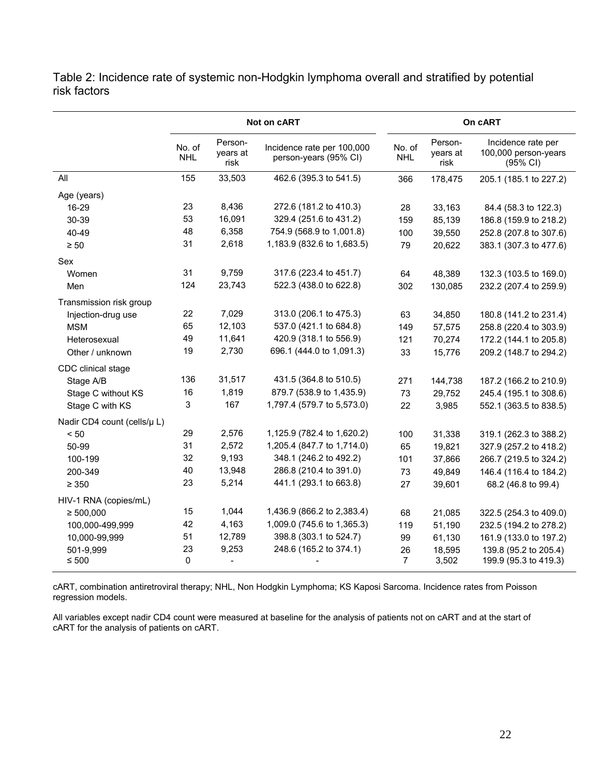Table 2: Incidence rate of systemic non-Hodgkin lymphoma overall and stratified by potential risk factors

|                             | Not on cART          |                             | On cART                                             |                      |                             |                                                        |
|-----------------------------|----------------------|-----------------------------|-----------------------------------------------------|----------------------|-----------------------------|--------------------------------------------------------|
|                             | No. of<br><b>NHL</b> | Person-<br>vears at<br>risk | Incidence rate per 100,000<br>person-years (95% CI) | No. of<br><b>NHL</b> | Person-<br>years at<br>risk | Incidence rate per<br>100,000 person-years<br>(95% CI) |
| All                         | 155                  | 33,503                      | 462.6 (395.3 to 541.5)                              | 366                  | 178,475                     | 205.1 (185.1 to 227.2)                                 |
| Age (years)                 |                      |                             |                                                     |                      |                             |                                                        |
| 16-29                       | 23                   | 8,436                       | 272.6 (181.2 to 410.3)                              | 28                   | 33,163                      | 84.4 (58.3 to 122.3)                                   |
| 30-39                       | 53                   | 16,091                      | 329.4 (251.6 to 431.2)                              | 159                  | 85,139                      | 186.8 (159.9 to 218.2)                                 |
| 40-49                       | 48                   | 6,358                       | 754.9 (568.9 to 1,001.8)                            | 100                  | 39,550                      | 252.8 (207.8 to 307.6)                                 |
| $\geq 50$                   | 31                   | 2,618                       | 1,183.9 (832.6 to 1,683.5)                          | 79                   | 20,622                      | 383.1 (307.3 to 477.6)                                 |
| Sex                         |                      |                             |                                                     |                      |                             |                                                        |
| Women                       | 31                   | 9,759                       | 317.6 (223.4 to 451.7)                              | 64                   | 48,389                      | 132.3 (103.5 to 169.0)                                 |
| Men                         | 124                  | 23,743                      | 522.3 (438.0 to 622.8)                              | 302                  | 130,085                     | 232.2 (207.4 to 259.9)                                 |
| Transmission risk group     |                      |                             |                                                     |                      |                             |                                                        |
| Injection-drug use          | 22                   | 7,029                       | 313.0 (206.1 to 475.3)                              | 63                   | 34,850                      | 180.8 (141.2 to 231.4)                                 |
| <b>MSM</b>                  | 65                   | 12,103                      | 537.0 (421.1 to 684.8)                              | 149                  | 57,575                      | 258.8 (220.4 to 303.9)                                 |
| Heterosexual                | 49                   | 11,641                      | 420.9 (318.1 to 556.9)                              | 121                  | 70,274                      | 172.2 (144.1 to 205.8)                                 |
| Other / unknown             | 19                   | 2,730                       | 696.1 (444.0 to 1,091.3)                            | 33                   | 15,776                      | 209.2 (148.7 to 294.2)                                 |
| CDC clinical stage          |                      |                             |                                                     |                      |                             |                                                        |
| Stage A/B                   | 136                  | 31,517                      | 431.5 (364.8 to 510.5)                              | 271                  | 144,738                     | 187.2 (166.2 to 210.9)                                 |
| Stage C without KS          | 16                   | 1,819                       | 879.7 (538.9 to 1,435.9)                            | 73                   | 29,752                      | 245.4 (195.1 to 308.6)                                 |
| Stage C with KS             | 3                    | 167                         | 1,797.4 (579.7 to 5,573.0)                          | 22                   | 3,985                       | 552.1 (363.5 to 838.5)                                 |
| Nadir CD4 count (cells/µ L) |                      |                             |                                                     |                      |                             |                                                        |
| < 50                        | 29                   | 2,576                       | 1,125.9 (782.4 to 1,620.2)                          | 100                  | 31,338                      | 319.1 (262.3 to 388.2)                                 |
| 50-99                       | 31                   | 2,572                       | 1,205.4 (847.7 to 1,714.0)                          | 65                   | 19,821                      | 327.9 (257.2 to 418.2)                                 |
| 100-199                     | 32                   | 9,193                       | 348.1 (246.2 to 492.2)                              | 101                  | 37,866                      | 266.7 (219.5 to 324.2)                                 |
| 200-349                     | 40                   | 13,948                      | 286.8 (210.4 to 391.0)                              | 73                   | 49,849                      | 146.4 (116.4 to 184.2)                                 |
| $\geq 350$                  | 23                   | 5,214                       | 441.1 (293.1 to 663.8)                              | 27                   | 39,601                      | 68.2 (46.8 to 99.4)                                    |
| HIV-1 RNA (copies/mL)       |                      |                             |                                                     |                      |                             |                                                        |
| $\geq 500,000$              | 15                   | 1,044                       | 1,436.9 (866.2 to 2,383.4)                          | 68                   | 21,085                      | 322.5 (254.3 to 409.0)                                 |
| 100,000-499,999             | 42                   | 4,163                       | 1,009.0 (745.6 to 1,365.3)                          | 119                  | 51,190                      | 232.5 (194.2 to 278.2)                                 |
| 10,000-99,999               | 51                   | 12,789                      | 398.8 (303.1 to 524.7)                              | 99                   | 61,130                      | 161.9 (133.0 to 197.2)                                 |
| 501-9,999                   | 23                   | 9,253                       | 248.6 (165.2 to 374.1)                              | 26                   | 18,595                      | 139.8 (95.2 to 205.4)                                  |
| ≤ 500                       | 0                    |                             |                                                     | 7                    | 3,502                       | 199.9 (95.3 to 419.3)                                  |

cART, combination antiretroviral therapy; NHL, Non Hodgkin Lymphoma; KS Kaposi Sarcoma. Incidence rates from Poisson regression models.

All variables except nadir CD4 count were measured at baseline for the analysis of patients not on cART and at the start of cART for the analysis of patients on cART.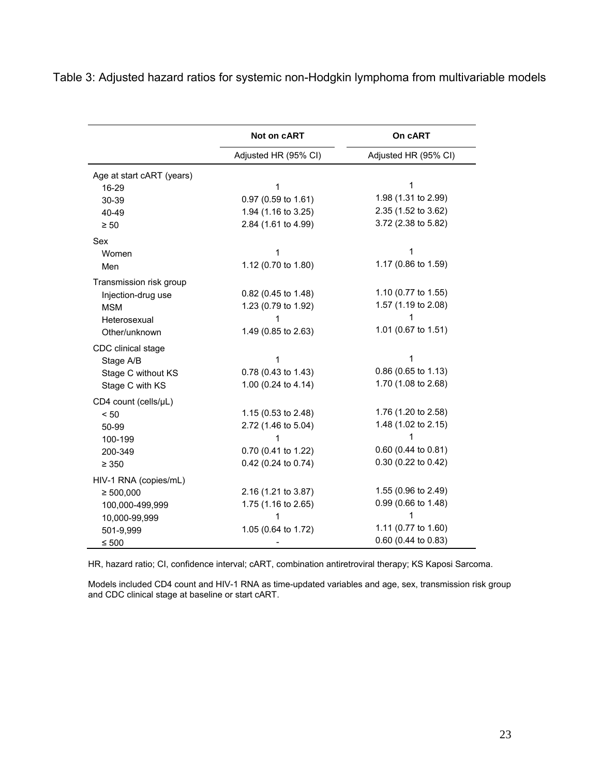|                           | Not on <b>CART</b>   | On cART              |  |
|---------------------------|----------------------|----------------------|--|
|                           | Adjusted HR (95% CI) | Adjusted HR (95% CI) |  |
| Age at start cART (years) |                      |                      |  |
| 16-29                     | 1                    | 1                    |  |
| 30-39                     | 0.97 (0.59 to 1.61)  | 1.98 (1.31 to 2.99)  |  |
| 40-49                     | 1.94 (1.16 to 3.25)  | 2.35 (1.52 to 3.62)  |  |
| $\geq 50$                 | 2.84 (1.61 to 4.99)  | 3.72 (2.38 to 5.82)  |  |
| Sex                       |                      |                      |  |
| Women                     |                      | 1                    |  |
| Men                       | 1.12 (0.70 to 1.80)  | 1.17 (0.86 to 1.59)  |  |
| Transmission risk group   |                      |                      |  |
| Injection-drug use        | 0.82 (0.45 to 1.48)  | 1.10 (0.77 to 1.55)  |  |
| <b>MSM</b>                | 1.23 (0.79 to 1.92)  | 1.57 (1.19 to 2.08)  |  |
| Heterosexual              | 1                    | 1                    |  |
| Other/unknown             | 1.49 (0.85 to 2.63)  | 1.01 (0.67 to 1.51)  |  |
| CDC clinical stage        |                      |                      |  |
| Stage A/B                 | 1                    | 1                    |  |
| Stage C without KS        | 0.78 (0.43 to 1.43)  | 0.86 (0.65 to 1.13)  |  |
| Stage C with KS           | 1.00 (0.24 to 4.14)  | 1.70 (1.08 to 2.68)  |  |
| CD4 count (cells/µL)      |                      |                      |  |
| < 50                      | 1.15 (0.53 to 2.48)  | 1.76 (1.20 to 2.58)  |  |
| 50-99                     | 2.72 (1.46 to 5.04)  | 1.48 (1.02 to 2.15)  |  |
| 100-199                   |                      |                      |  |
| 200-349                   | 0.70 (0.41 to 1.22)  | 0.60 (0.44 to 0.81)  |  |
| $\geq 350$                | 0.42 (0.24 to 0.74)  | 0.30 (0.22 to 0.42)  |  |
| HIV-1 RNA (copies/mL)     |                      |                      |  |
| $\geq 500,000$            | 2.16 (1.21 to 3.87)  | 1.55 (0.96 to 2.49)  |  |
| 100,000-499,999           | 1.75 (1.16 to 2.65)  | 0.99 (0.66 to 1.48)  |  |
| 10,000-99,999             |                      |                      |  |
| 501-9,999                 | 1.05 (0.64 to 1.72)  | 1.11 (0.77 to 1.60)  |  |
| $\leq 500$                |                      | 0.60 (0.44 to 0.83)  |  |

Table 3: Adjusted hazard ratios for systemic non-Hodgkin lymphoma from multivariable models

HR, hazard ratio; CI, confidence interval; cART, combination antiretroviral therapy; KS Kaposi Sarcoma.

Models included CD4 count and HIV-1 RNA as time-updated variables and age, sex, transmission risk group and CDC clinical stage at baseline or start cART.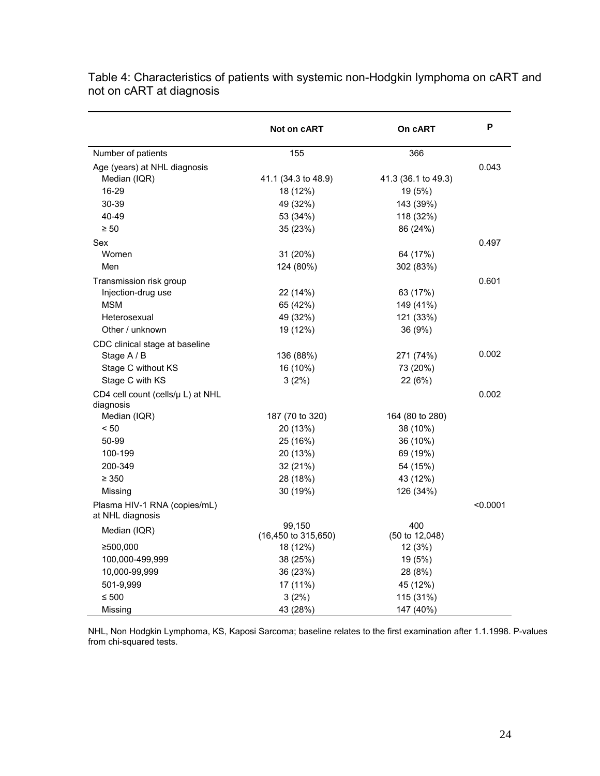|                                                  | Not on cART         | On cART             | P        |
|--------------------------------------------------|---------------------|---------------------|----------|
| Number of patients                               | 155                 | 366                 |          |
| Age (years) at NHL diagnosis                     |                     |                     | 0.043    |
| Median (IQR)                                     | 41.1 (34.3 to 48.9) | 41.3 (36.1 to 49.3) |          |
| 16-29                                            | 18 (12%)            | 19 (5%)             |          |
| 30-39                                            | 49 (32%)            | 143 (39%)           |          |
| 40-49                                            | 53 (34%)            | 118 (32%)           |          |
| $\geq 50$                                        | 35 (23%)            | 86 (24%)            |          |
| Sex                                              |                     |                     | 0.497    |
| Women                                            | 31 (20%)            | 64 (17%)            |          |
| Men                                              | 124 (80%)           | 302 (83%)           |          |
| Transmission risk group                          |                     |                     | 0.601    |
| Injection-drug use                               | 22 (14%)            | 63 (17%)            |          |
| <b>MSM</b>                                       | 65 (42%)            | 149 (41%)           |          |
| Heterosexual                                     | 49 (32%)            | 121 (33%)           |          |
| Other / unknown                                  | 19 (12%)            | 36 (9%)             |          |
| CDC clinical stage at baseline                   |                     |                     |          |
| Stage A / B                                      | 136 (88%)           | 271 (74%)           | 0.002    |
| Stage C without KS                               | 16 (10%)            | 73 (20%)            |          |
| Stage C with KS                                  | 3(2%)               | 22 (6%)             |          |
| CD4 cell count (cells/µ L) at NHL<br>diagnosis   |                     |                     | 0.002    |
| Median (IQR)                                     | 187 (70 to 320)     | 164 (80 to 280)     |          |
| < 50                                             | 20 (13%)            | 38 (10%)            |          |
| 50-99                                            | 25 (16%)            | 36 (10%)            |          |
| 100-199                                          | 20 (13%)            | 69 (19%)            |          |
| 200-349                                          | 32 (21%)            | 54 (15%)            |          |
| $\geq 350$                                       | 28 (18%)            | 43 (12%)            |          |
| Missing                                          | 30 (19%)            | 126 (34%)           |          |
| Plasma HIV-1 RNA (copies/mL)<br>at NHL diagnosis |                     |                     | < 0.0001 |
| Median (IQR)                                     | 99,150              | 400                 |          |
|                                                  | (16,450 to 315,650) | (50 to 12,048)      |          |
| ≥500,000                                         | 18 (12%)            | 12(3%)              |          |
| 100,000-499,999                                  | 38 (25%)            | 19 (5%)             |          |
| 10,000-99,999                                    | 36 (23%)            | 28 (8%)             |          |
| 501-9,999                                        | 17 (11%)            | 45 (12%)            |          |
| ≤ 500                                            | 3(2%)               | 115 (31%)           |          |
| Missing                                          | 43 (28%)            | 147 (40%)           |          |

Table 4: Characteristics of patients with systemic non-Hodgkin lymphoma on cART and not on cART at diagnosis

NHL, Non Hodgkin Lymphoma, KS, Kaposi Sarcoma; baseline relates to the first examination after 1.1.1998. P-values from chi-squared tests.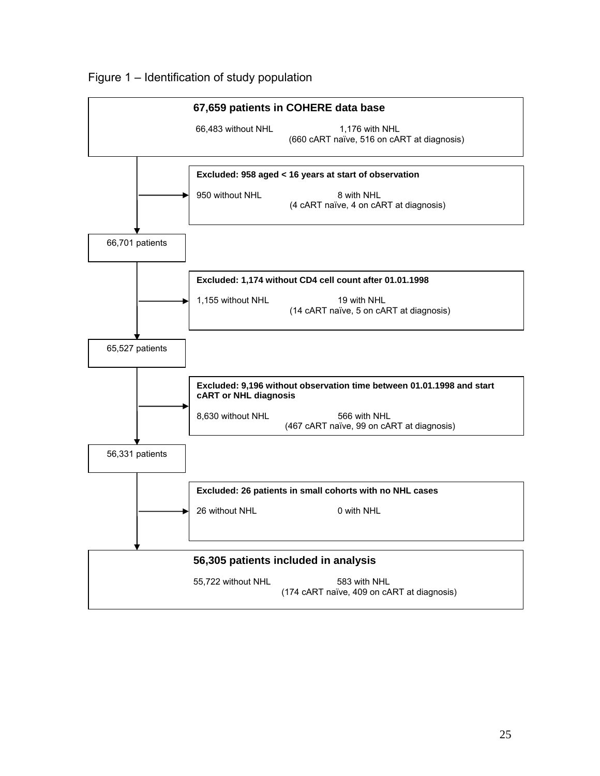

Figure 1 – Identification of study population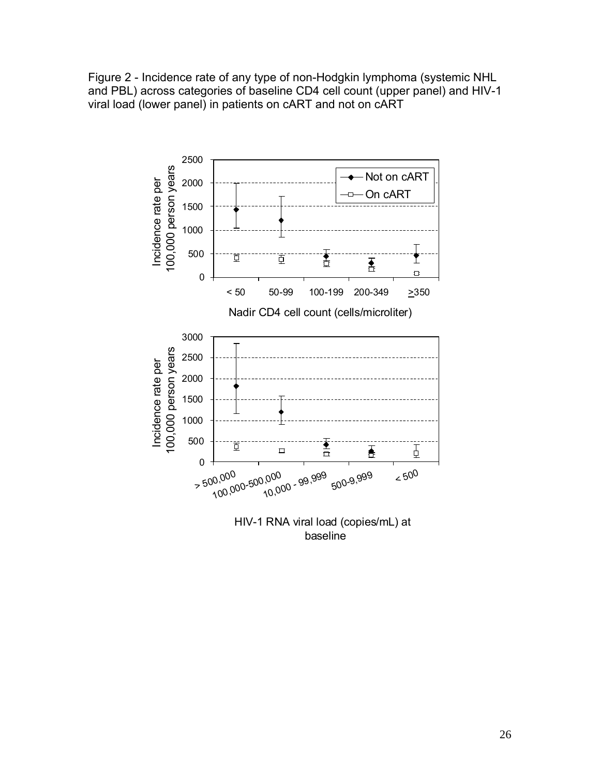Figure 2 - Incidence rate of any type of non-Hodgkin lymphoma (systemic NHL and PBL) across categories of baseline CD4 cell count (upper panel) and HIV-1 viral load (lower panel) in patients on cART and not on cART



baseline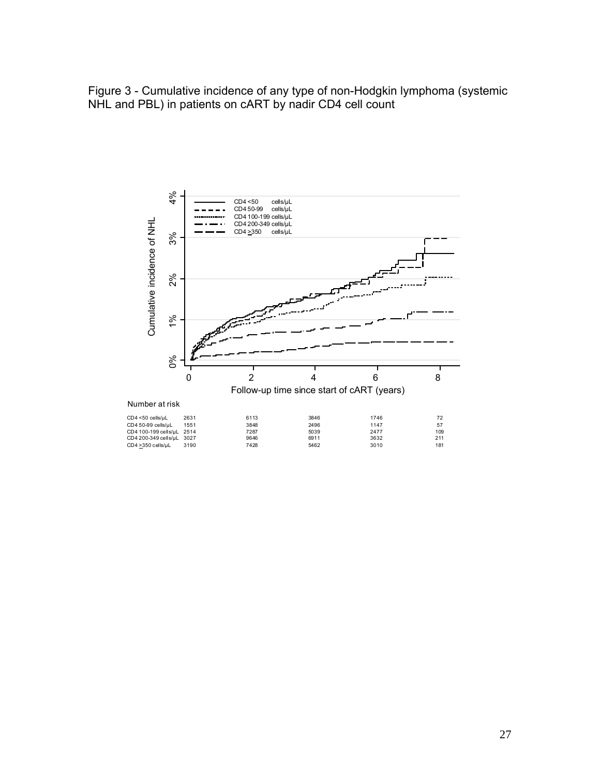Figure 3 - Cumulative incidence of any type of non-Hodgkin lymphoma (systemic NHL and PBL) in patients on cART by nadir CD4 cell count

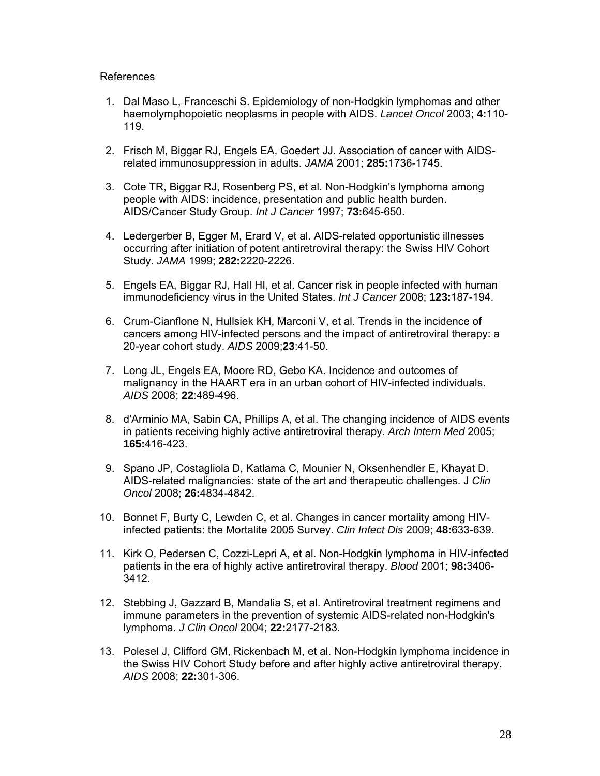#### References

- 1. Dal Maso L, Franceschi S. Epidemiology of non-Hodgkin lymphomas and other haemolymphopoietic neoplasms in people with AIDS. *Lancet Oncol* 2003; **4:**110- 119.
- 2. Frisch M, Biggar RJ, Engels EA, Goedert JJ. Association of cancer with AIDSrelated immunosuppression in adults. *JAMA* 2001; **285:**1736-1745.
- 3. Cote TR, Biggar RJ, Rosenberg PS, et al. Non-Hodgkin's lymphoma among people with AIDS: incidence, presentation and public health burden. AIDS/Cancer Study Group. *Int J Cancer* 1997; **73:**645-650.
- 4. Ledergerber B, Egger M, Erard V, et al. AIDS-related opportunistic illnesses occurring after initiation of potent antiretroviral therapy: the Swiss HIV Cohort Study. *JAMA* 1999; **282:**2220-2226.
- 5. Engels EA, Biggar RJ, Hall HI, et al. Cancer risk in people infected with human immunodeficiency virus in the United States. *Int J Cancer* 2008; **123:**187-194.
- 6. Crum-Cianflone N, Hullsiek KH, Marconi V, et al. Trends in the incidence of cancers among HIV-infected persons and the impact of antiretroviral therapy: a 20-year cohort study. *AIDS* 2009;**23**:41-50.
- 7. Long JL, Engels EA, Moore RD, Gebo KA. Incidence and outcomes of malignancy in the HAART era in an urban cohort of HIV-infected individuals. *AIDS* 2008; **22**:489-496.
- 8. d'Arminio MA, Sabin CA, Phillips A, et al. The changing incidence of AIDS events in patients receiving highly active antiretroviral therapy. *Arch Intern Med* 2005; **165:**416-423.
- 9. Spano JP, Costagliola D, Katlama C, Mounier N, Oksenhendler E, Khayat D. AIDS-related malignancies: state of the art and therapeutic challenges. J *Clin Oncol* 2008; **26:**4834-4842.
- 10. Bonnet F, Burty C, Lewden C, et al. Changes in cancer mortality among HIVinfected patients: the Mortalite 2005 Survey. *Clin Infect Dis* 2009; **48:**633-639.
- 11. Kirk O, Pedersen C, Cozzi-Lepri A, et al. Non-Hodgkin lymphoma in HIV-infected patients in the era of highly active antiretroviral therapy. *Blood* 2001; **98:**3406- 3412.
- 12. Stebbing J, Gazzard B, Mandalia S, et al. Antiretroviral treatment regimens and immune parameters in the prevention of systemic AIDS-related non-Hodgkin's lymphoma. *J Clin Oncol* 2004; **22:**2177-2183.
- 13. Polesel J, Clifford GM, Rickenbach M, et al. Non-Hodgkin lymphoma incidence in the Swiss HIV Cohort Study before and after highly active antiretroviral therapy. *AIDS* 2008; **22:**301-306.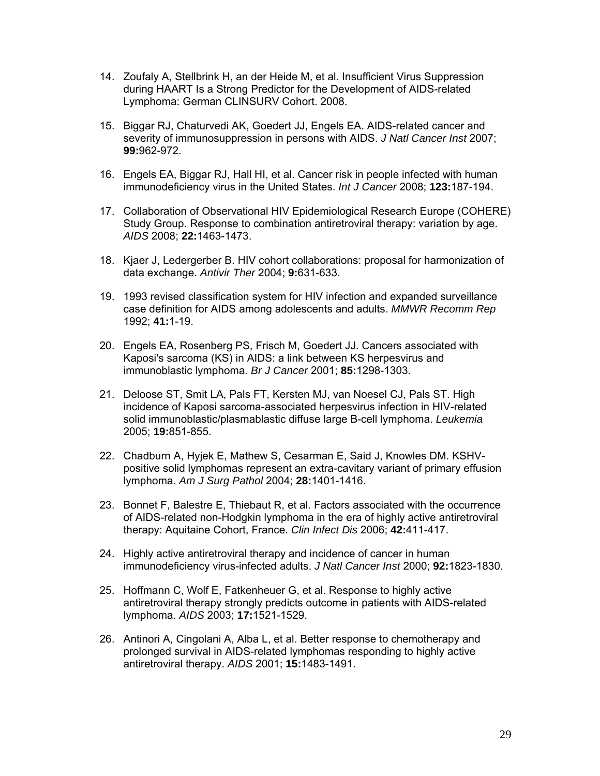- 14. Zoufaly A, Stellbrink H, an der Heide M, et al. Insufficient Virus Suppression during HAART Is a Strong Predictor for the Development of AIDS-related Lymphoma: German CLINSURV Cohort. 2008.
- 15. Biggar RJ, Chaturvedi AK, Goedert JJ, Engels EA. AIDS-related cancer and severity of immunosuppression in persons with AIDS. *J Natl Cancer Inst* 2007; **99:**962-972.
- 16. Engels EA, Biggar RJ, Hall HI, et al. Cancer risk in people infected with human immunodeficiency virus in the United States. *Int J Cancer* 2008; **123:**187-194.
- 17. Collaboration of Observational HIV Epidemiological Research Europe (COHERE) Study Group. Response to combination antiretroviral therapy: variation by age. *AIDS* 2008; **22:**1463-1473.
- 18. Kjaer J, Ledergerber B. HIV cohort collaborations: proposal for harmonization of data exchange. *Antivir Ther* 2004; **9:**631-633.
- 19. 1993 revised classification system for HIV infection and expanded surveillance case definition for AIDS among adolescents and adults. *MMWR Recomm Rep* 1992; **41:**1-19.
- 20. Engels EA, Rosenberg PS, Frisch M, Goedert JJ. Cancers associated with Kaposi's sarcoma (KS) in AIDS: a link between KS herpesvirus and immunoblastic lymphoma. *Br J Cancer* 2001; **85:**1298-1303.
- 21. Deloose ST, Smit LA, Pals FT, Kersten MJ, van Noesel CJ, Pals ST. High incidence of Kaposi sarcoma-associated herpesvirus infection in HIV-related solid immunoblastic/plasmablastic diffuse large B-cell lymphoma. *Leukemia* 2005; **19:**851-855.
- 22. Chadburn A, Hyjek E, Mathew S, Cesarman E, Said J, Knowles DM. KSHVpositive solid lymphomas represent an extra-cavitary variant of primary effusion lymphoma. *Am J Surg Pathol* 2004; **28:**1401-1416.
- 23. Bonnet F, Balestre E, Thiebaut R, et al. Factors associated with the occurrence of AIDS-related non-Hodgkin lymphoma in the era of highly active antiretroviral therapy: Aquitaine Cohort, France. *Clin Infect Dis* 2006; **42:**411-417.
- 24. Highly active antiretroviral therapy and incidence of cancer in human immunodeficiency virus-infected adults. *J Natl Cancer Inst* 2000; **92:**1823-1830.
- 25. Hoffmann C, Wolf E, Fatkenheuer G, et al. Response to highly active antiretroviral therapy strongly predicts outcome in patients with AIDS-related lymphoma. *AIDS* 2003; **17:**1521-1529.
- 26. Antinori A, Cingolani A, Alba L, et al. Better response to chemotherapy and prolonged survival in AIDS-related lymphomas responding to highly active antiretroviral therapy. *AIDS* 2001; **15:**1483-1491.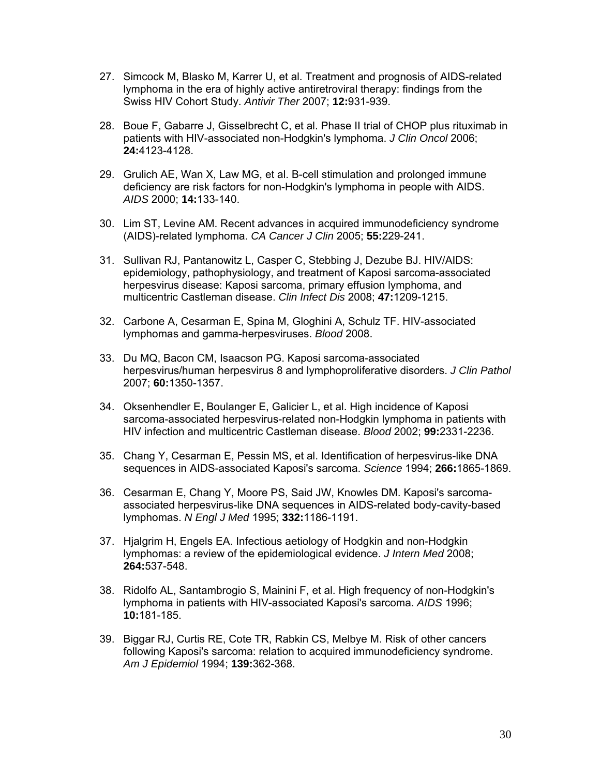- 27. Simcock M, Blasko M, Karrer U, et al. Treatment and prognosis of AIDS-related lymphoma in the era of highly active antiretroviral therapy: findings from the Swiss HIV Cohort Study. *Antivir Ther* 2007; **12:**931-939.
- 28. Boue F, Gabarre J, Gisselbrecht C, et al. Phase II trial of CHOP plus rituximab in patients with HIV-associated non-Hodgkin's lymphoma. *J Clin Oncol* 2006; **24:**4123-4128.
- 29. Grulich AE, Wan X, Law MG, et al. B-cell stimulation and prolonged immune deficiency are risk factors for non-Hodgkin's lymphoma in people with AIDS. *AIDS* 2000; **14:**133-140.
- 30. Lim ST, Levine AM. Recent advances in acquired immunodeficiency syndrome (AIDS)-related lymphoma. *CA Cancer J Clin* 2005; **55:**229-241.
- 31. Sullivan RJ, Pantanowitz L, Casper C, Stebbing J, Dezube BJ. HIV/AIDS: epidemiology, pathophysiology, and treatment of Kaposi sarcoma-associated herpesvirus disease: Kaposi sarcoma, primary effusion lymphoma, and multicentric Castleman disease. *Clin Infect Dis* 2008; **47:**1209-1215.
- 32. Carbone A, Cesarman E, Spina M, Gloghini A, Schulz TF. HIV-associated lymphomas and gamma-herpesviruses. *Blood* 2008.
- 33. Du MQ, Bacon CM, Isaacson PG. Kaposi sarcoma-associated herpesvirus/human herpesvirus 8 and lymphoproliferative disorders. *J Clin Pathol* 2007; **60:**1350-1357.
- 34. Oksenhendler E, Boulanger E, Galicier L, et al. High incidence of Kaposi sarcoma-associated herpesvirus-related non-Hodgkin lymphoma in patients with HIV infection and multicentric Castleman disease. *Blood* 2002; **99:**2331-2236.
- 35. Chang Y, Cesarman E, Pessin MS, et al. Identification of herpesvirus-like DNA sequences in AIDS-associated Kaposi's sarcoma. *Science* 1994; **266:**1865-1869.
- 36. Cesarman E, Chang Y, Moore PS, Said JW, Knowles DM. Kaposi's sarcomaassociated herpesvirus-like DNA sequences in AIDS-related body-cavity-based lymphomas. *N Engl J Med* 1995; **332:**1186-1191.
- 37. Hjalgrim H, Engels EA. Infectious aetiology of Hodgkin and non-Hodgkin lymphomas: a review of the epidemiological evidence. *J Intern Med* 2008; **264:**537-548.
- 38. Ridolfo AL, Santambrogio S, Mainini F, et al. High frequency of non-Hodgkin's lymphoma in patients with HIV-associated Kaposi's sarcoma. *AIDS* 1996; **10:**181-185.
- 39. Biggar RJ, Curtis RE, Cote TR, Rabkin CS, Melbye M. Risk of other cancers following Kaposi's sarcoma: relation to acquired immunodeficiency syndrome. *Am J Epidemiol* 1994; **139:**362-368.